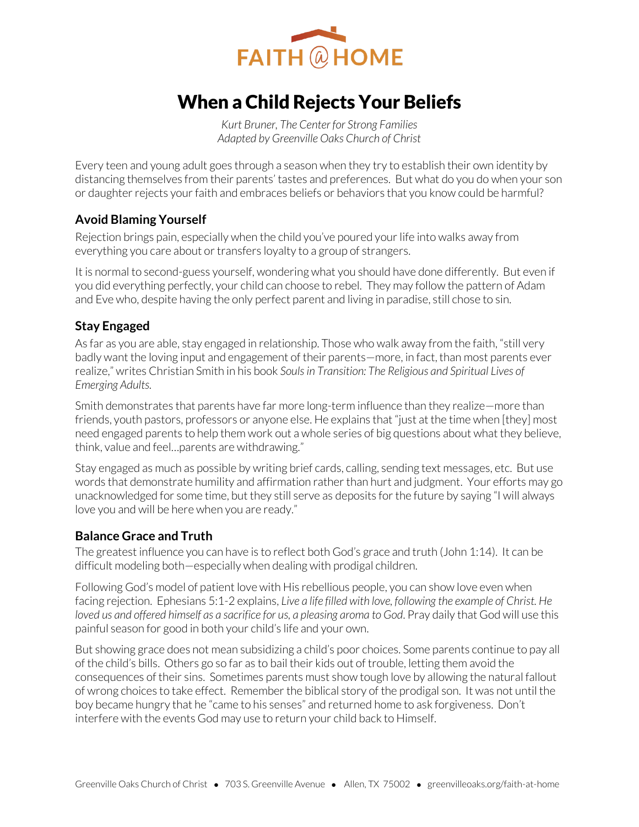

# When a Child Rejects Your Beliefs

*Kurt Bruner, The Center for Strong Families Adapted by Greenville Oaks Church of Christ* 

Every teen and young adult goes through a season when they try to establish their own identity by distancing themselves from their parents' tastes and preferences. But what do you do when your son or daughter rejects your faith and embraces beliefs or behaviors that you know could be harmful?

## **Avoid Blaming Yourself**

Rejection brings pain, especially when the child you've poured your life into walks away from everything you care about or transfers loyalty to a group of strangers.

It is normal to second-guess yourself, wondering what you should have done differently. But even if you did everything perfectly, your child can choose to rebel. They may follow the pattern of Adam and Eve who, despite having the only perfect parent and living in paradise, still chose to sin.

## **Stay Engaged**

As far as you are able, stay engaged in relationship. Those who walk away from the faith, "still very badly want the loving input and engagement of their parents—more, in fact, than most parents ever realize," writes Christian Smith in his book *Souls in Transition: The Religious and Spiritual Lives of Emerging Adults.*

Smith demonstrates that parents have far more long-term influence than they realize—more than friends, youth pastors, professors or anyone else. He explains that "just at the time when [they] most need engaged parents to help them work out a whole series of big questions about what they believe, think, value and feel…parents are withdrawing."

Stay engaged as much as possible by writing brief cards, calling, sending text messages, etc. But use words that demonstrate humility and affirmation rather than hurt and judgment. Your efforts may go unacknowledged for some time, but they still serve as deposits for the future by saying "I will always love you and will be here when you are ready."

## **Balance Grace and Truth**

The greatest influence you can have is to reflect both God's grace and truth (John 1:14). It can be difficult modeling both—especially when dealing with prodigal children.

Following God's model of patient love with His rebellious people, you can show love even when facing rejection. Ephesians 5:1-2 explains, *Live a life filled with love, following the example of Christ. He loved us and offered himself as a sacrifice for us, a pleasing aroma to God*. Pray daily that God will use this painful season for good in both your child's life and your own.

But showing grace does not mean subsidizing a child's poor choices. Some parents continue to pay all of the child's bills. Others go so far as to bail their kids out of trouble, letting them avoid the consequences of their sins. Sometimes parents must show tough love by allowing the natural fallout of wrong choices to take effect. Remember the biblical story of the prodigal son. It was not until the boy became hungry that he "came to his senses" and returned home to ask forgiveness. Don't interfere with the events God may use to return your child back to Himself.